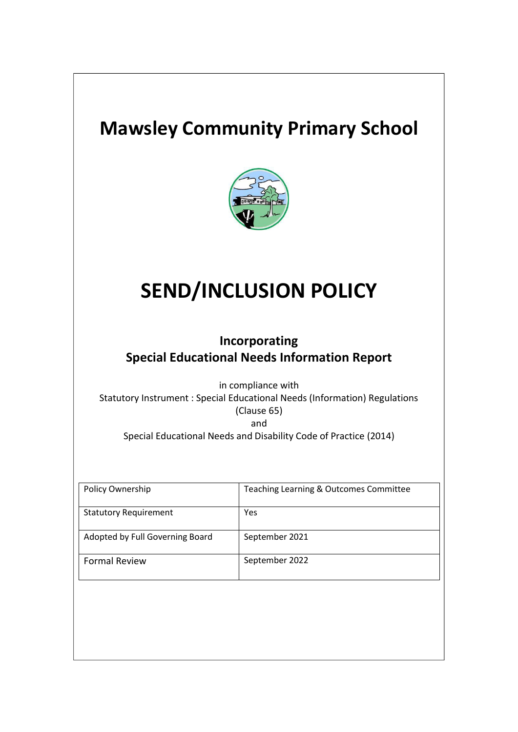# **Mawsley Community Primary School**



# **SEND/INCLUSION POLICY**

# **Incorporating Special Educational Needs Information Report**

in compliance with Statutory Instrument : Special Educational Needs (Information) Regulations (Clause 65) and

Special Educational Needs and Disability Code of Practice (2014)

| Policy Ownership                | Teaching Learning & Outcomes Committee |
|---------------------------------|----------------------------------------|
| <b>Statutory Requirement</b>    | Yes                                    |
| Adopted by Full Governing Board | September 2021                         |
| <b>Formal Review</b>            | September 2022                         |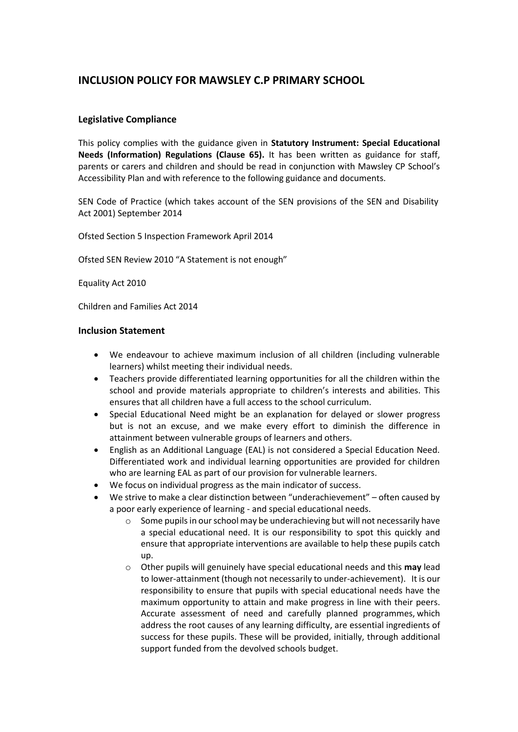### **INCLUSION POLICY FOR MAWSLEY C.P PRIMARY SCHOOL**

#### **Legislative Compliance**

This policy complies with the guidance given in **Statutory Instrument: Special Educational Needs (Information) Regulations (Clause 65).** It has been written as guidance for staff, parents or carers and children and should be read in conjunction with Mawsley CP School's Accessibility Plan and with reference to the following guidance and documents.

SEN Code of Practice (which takes account of the SEN provisions of the SEN and Disability Act 2001) September 2014

Ofsted Section 5 Inspection Framework April 2014

Ofsted SEN Review 2010 "A Statement is not enough"

Equality Act 2010

Children and Families Act 2014

#### **Inclusion Statement**

- We endeavour to achieve maximum inclusion of all children (including vulnerable learners) whilst meeting their individual needs.
- Teachers provide differentiated learning opportunities for all the children within the school and provide materials appropriate to children's interests and abilities. This ensures that all children have a full access to the school curriculum.
- Special Educational Need might be an explanation for delayed or slower progress but is not an excuse, and we make every effort to diminish the difference in attainment between vulnerable groups of learners and others.
- English as an Additional Language (EAL) is not considered a Special Education Need. Differentiated work and individual learning opportunities are provided for children who are learning EAL as part of our provision for vulnerable learners.
- We focus on individual progress as the main indicator of success.
- We strive to make a clear distinction between "underachievement" often caused by a poor early experience of learning - and special educational needs.
	- $\circ$  Some pupils in our school may be underachieving but will not necessarily have a special educational need. It is our responsibility to spot this quickly and ensure that appropriate interventions are available to help these pupils catch up.
	- o Other pupils will genuinely have special educational needs and this **may** lead to lower-attainment (though not necessarily to under-achievement). It is our responsibility to ensure that pupils with special educational needs have the maximum opportunity to attain and make progress in line with their peers. Accurate assessment of need and carefully planned programmes, which address the root causes of any learning difficulty, are essential ingredients of success for these pupils. These will be provided, initially, through additional support funded from the devolved schools budget.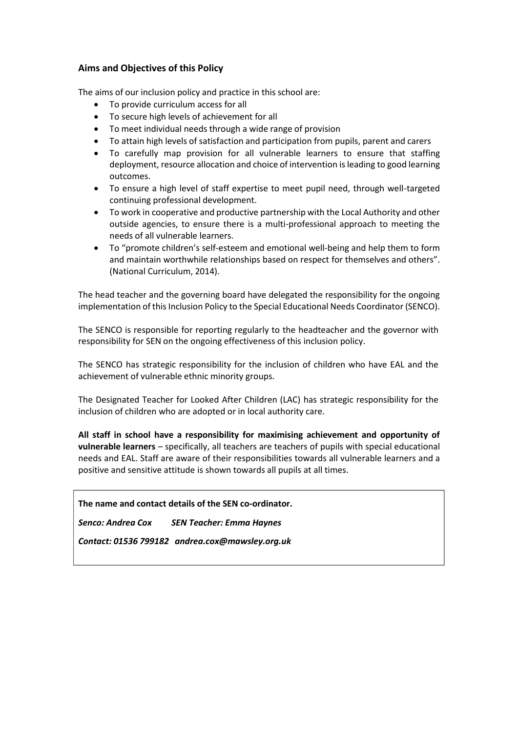#### **Aims and Objectives of this Policy**

The aims of our inclusion policy and practice in this school are:

- To provide curriculum access for all
- To secure high levels of achievement for all
- To meet individual needs through a wide range of provision
- To attain high levels of satisfaction and participation from pupils, parent and carers
- To carefully map provision for all vulnerable learners to ensure that staffing deployment, resource allocation and choice of intervention isleading to good learning outcomes.
- To ensure a high level of staff expertise to meet pupil need, through well-targeted continuing professional development.
- To work in cooperative and productive partnership with the Local Authority and other outside agencies, to ensure there is a multi-professional approach to meeting the needs of all vulnerable learners.
- To "promote children's self-esteem and emotional well-being and help them to form and maintain worthwhile relationships based on respect for themselves and others". (National Curriculum, 2014).

The head teacher and the governing board have delegated the responsibility for the ongoing implementation of this Inclusion Policy to the Special Educational Needs Coordinator (SENCO).

The SENCO is responsible for reporting regularly to the headteacher and the governor with responsibility for SEN on the ongoing effectiveness of this inclusion policy.

The SENCO has strategic responsibility for the inclusion of children who have EAL and the achievement of vulnerable ethnic minority groups.

The Designated Teacher for Looked After Children (LAC) has strategic responsibility for the inclusion of children who are adopted or in local authority care.

**All staff in school have a responsibility for maximising achievement and opportunity of vulnerable learners** – specifically, all teachers are teachers of pupils with special educational needs and EAL. Staff are aware of their responsibilities towards all vulnerable learners and a positive and sensitive attitude is shown towards all pupils at all times.

#### **The name and contact details of the SEN co-ordinator.**

*Senco: Andrea Cox SEN Teacher: Emma Haynes*

*Contact: 01536 799182 [andrea.cox@mawsley.org.uk](mailto:andrea.cox@mawsley.org.uk)*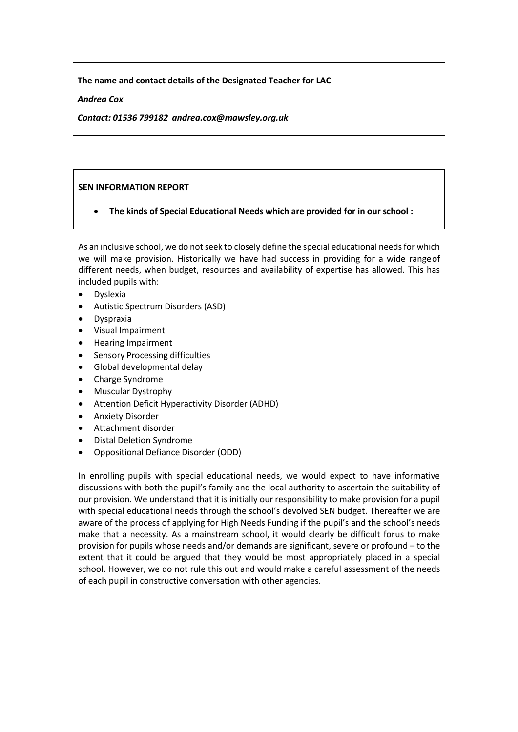**The name and contact details of the Designated Teacher for LAC**

#### *Andrea Cox*

*Contact: 01536 799182 [andrea.cox@mawsley.org.uk](mailto:andrea.cox@mawsley.org.uk)*

#### **SEN INFORMATION REPORT**

• **The kinds of Special Educational Needs which are provided for in our school :**

As an inclusive school, we do not seek to closely define the special educational needs for which we will make provision. Historically we have had success in providing for a wide rangeof different needs, when budget, resources and availability of expertise has allowed. This has included pupils with:

- Dyslexia
- Autistic Spectrum Disorders (ASD)
- Dyspraxia
- Visual Impairment
- Hearing Impairment
- Sensory Processing difficulties
- Global developmental delay
- Charge Syndrome
- Muscular Dystrophy
- Attention Deficit Hyperactivity Disorder (ADHD)
- Anxiety Disorder
- Attachment disorder
- Distal Deletion Syndrome
- Oppositional Defiance Disorder (ODD)

In enrolling pupils with special educational needs, we would expect to have informative discussions with both the pupil's family and the local authority to ascertain the suitability of our provision. We understand that it is initially our responsibility to make provision for a pupil with special educational needs through the school's devolved SEN budget. Thereafter we are aware of the process of applying for High Needs Funding if the pupil's and the school's needs make that a necessity. As a mainstream school, it would clearly be difficult forus to make provision for pupils whose needs and/or demands are significant, severe or profound – to the extent that it could be argued that they would be most appropriately placed in a special school. However, we do not rule this out and would make a careful assessment of the needs of each pupil in constructive conversation with other agencies.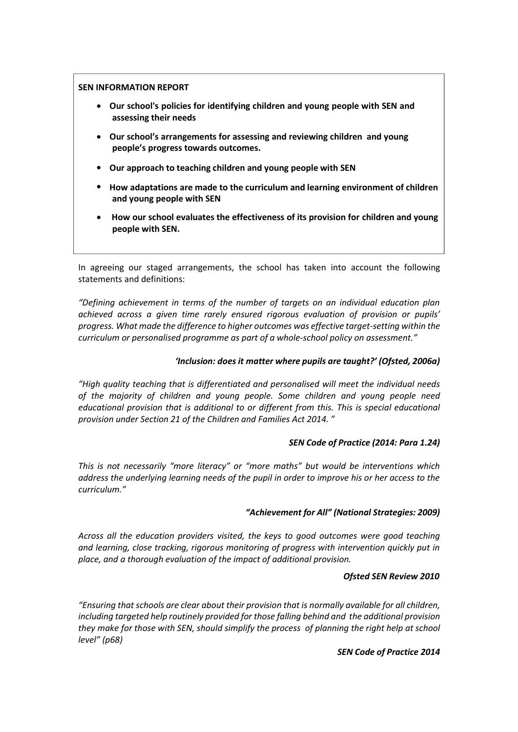#### **SEN INFORMATION REPORT**

- **Our school's policies for identifying children and young people with SEN and assessing their needs**
- **Our school's arrangements for assessing and reviewing children and young people's progress towards outcomes.**
- **Our approach to teaching children and young people with SEN**
- **How adaptations are made to the curriculum and learning environment of children and young people with SEN**
- **How our school evaluates the effectiveness of its provision for children and young people with SEN.**

In agreeing our staged arrangements, the school has taken into account the following statements and definitions:

*"Defining achievement in terms of the number of targets on an individual education plan achieved across a given time rarely ensured rigorous evaluation of provision or pupils' progress. What made the difference to higher outcomes was effective target-setting within the curriculum or personalised programme as part of a whole-school policy on assessment."*

#### *'Inclusion: does it matter where pupils are taught?' (Ofsted, 2006a)*

*"High quality teaching that is differentiated and personalised will meet the individual needs of the majority of children and young people. Some children and young people need educational provision that is additional to or different from this. This is special educational provision under Section 21 of the Children and Families Act 2014. "*

#### *SEN Code of Practice (2014: Para 1.24)*

*This is not necessarily "more literacy" or "more maths" but would be interventions which address the underlying learning needs of the pupil in order to improve his or her access to the curriculum."*

#### *"Achievement for All" (National Strategies: 2009)*

*Across all the education providers visited, the keys to good outcomes were good teaching and learning, close tracking, rigorous monitoring of progress with intervention quickly put in place, and a thorough evaluation of the impact of additional provision.*

#### *Ofsted SEN Review 2010*

*"Ensuring that schools are clear about their provision that is normally available for all children, including targeted help routinely provided for those falling behind and the additional provision they make for those with SEN, should simplify the process of planning the right help at school level" (p68)*

#### *SEN Code of Practice 2014*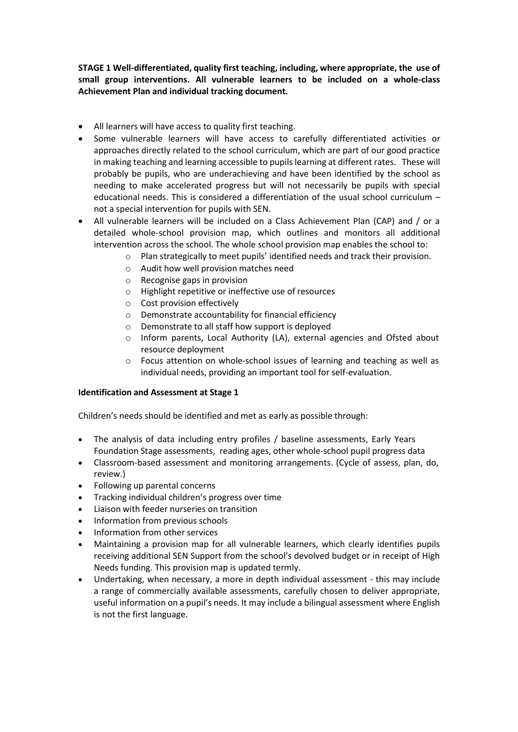**STAGE 1 Well-differentiated, quality first teaching, including, where appropriate, the use of small group interventions. All vulnerable learners to be included on a whole-class Achievement Plan and individual tracking document.**

- All learners will have access to quality first teaching.
- Some vulnerable learners will have access to carefully differentiated activities or approaches directly related to the school curriculum, which are part of our good practice in making teaching and learning accessible to pupils learning at different rates. These will probably be pupils, who are underachieving and have been identified by the school as needing to make accelerated progress but will not necessarily be pupils with special educational needs. This is considered a differentiation of the usual school curriculum – not a special intervention for pupils with SEN.
- All vulnerable learners will be included on a Class Achievement Plan (CAP) and / or a detailed whole-school provision map, which outlines and monitors all additional intervention across the school. The whole school provision map enables the school to:
	- $\circ$  Plan strategically to meet pupils' identified needs and track their provision.
	- o Audit how well provision matches need
	- o Recognise gaps in provision
	- o Highlight repetitive or ineffective use of resources
	- o Cost provision effectively
	- o Demonstrate accountability for financial efficiency
	- o Demonstrate to all staff how support is deployed
	- o Inform parents, Local Authority (LA), external agencies and Ofsted about resource deployment
	- $\circ$  Focus attention on whole-school issues of learning and teaching as well as individual needs, providing an important tool for self-evaluation.

#### **Identification and Assessment at Stage 1**

Children's needs should be identified and met as early as possible through:

- The analysis of data including entry profiles / baseline assessments, Early Years Foundation Stage assessments, reading ages, other whole-school pupil progress data
- Classroom-based assessment and monitoring arrangements. (Cycle of assess, plan, do, review.)
- Following up parental concerns
- Tracking individual children's progress over time
- Liaison with feeder nurseries on transition
- Information from previous schools
- Information from other services
- Maintaining a provision map for all vulnerable learners, which clearly identifies pupils receiving additional SEN Support from the school's devolved budget or in receipt of High Needs funding. This provision map is updated termly.
- Undertaking, when necessary, a more in depth individual assessment this may include a range of commercially available assessments, carefully chosen to deliver appropriate, useful information on a pupil's needs. It may include a bilingual assessment where English is not the first language.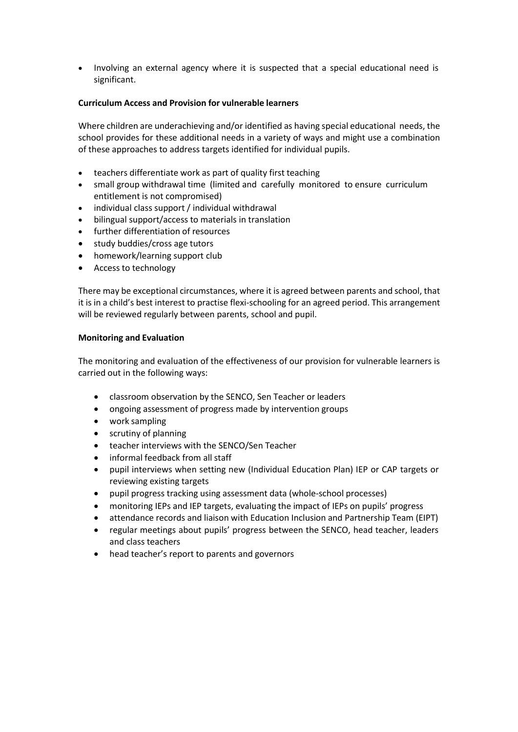• Involving an external agency where it is suspected that a special educational need is significant.

#### **Curriculum Access and Provision for vulnerable learners**

Where children are underachieving and/or identified as having special educational needs, the school provides for these additional needs in a variety of ways and might use a combination of these approaches to address targets identified for individual pupils.

- teachers differentiate work as part of quality first teaching
- small group withdrawal time (limited and carefully monitored to ensure curriculum entitlement is not compromised)
- individual class support / individual withdrawal
- bilingual support/access to materials in translation
- further differentiation of resources
- study buddies/cross age tutors
- homework/learning support club
- Access to technology

There may be exceptional circumstances, where it is agreed between parents and school, that it is in a child's best interest to practise flexi-schooling for an agreed period. This arrangement will be reviewed regularly between parents, school and pupil.

#### **Monitoring and Evaluation**

The monitoring and evaluation of the effectiveness of our provision for vulnerable learners is carried out in the following ways:

- classroom observation by the SENCO, Sen Teacher or leaders
- ongoing assessment of progress made by intervention groups
- work sampling
- scrutiny of planning
- teacher interviews with the SENCO/Sen Teacher
- informal feedback from all staff
- pupil interviews when setting new (Individual Education Plan) IEP or CAP targets or reviewing existing targets
- pupil progress tracking using assessment data (whole-school processes)
- monitoring IEPs and IEP targets, evaluating the impact of IEPs on pupils' progress
- attendance records and liaison with Education Inclusion and Partnership Team (EIPT)
- regular meetings about pupils' progress between the SENCO, head teacher, leaders and class teachers
- head teacher's report to parents and governors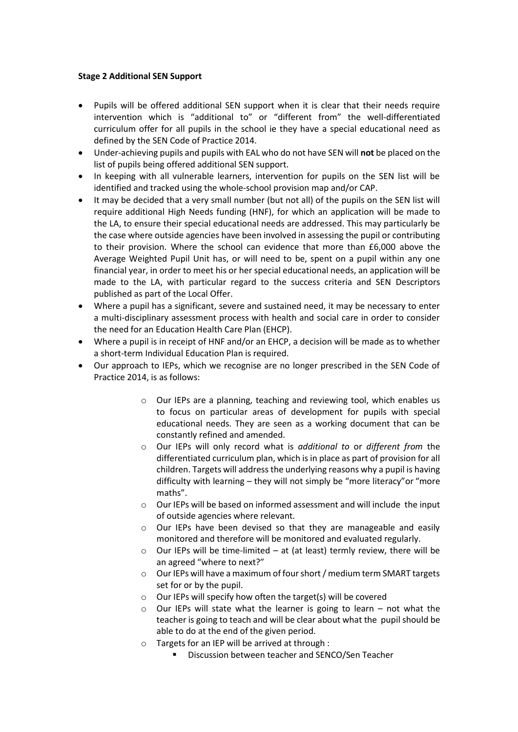#### **Stage 2 Additional SEN Support**

- Pupils will be offered additional SEN support when it is clear that their needs require intervention which is "additional to" or "different from" the well-differentiated curriculum offer for all pupils in the school ie they have a special educational need as defined by the SEN Code of Practice 2014.
- Under-achieving pupils and pupils with EAL who do not have SEN will **not** be placed on the list of pupils being offered additional SEN support.
- In keeping with all vulnerable learners, intervention for pupils on the SEN list will be identified and tracked using the whole-school provision map and/or CAP.
- It may be decided that a very small number (but not all) of the pupils on the SEN list will require additional High Needs funding (HNF), for which an application will be made to the LA, to ensure their special educational needs are addressed. This may particularly be the case where outside agencies have been involved in assessing the pupil or contributing to their provision. Where the school can evidence that more than £6,000 above the Average Weighted Pupil Unit has, or will need to be, spent on a pupil within any one financial year, in order to meet his or her special educational needs, an application will be made to the LA, with particular regard to the success criteria and SEN Descriptors published as part of the Local Offer.
- Where a pupil has a significant, severe and sustained need, it may be necessary to enter a multi-disciplinary assessment process with health and social care in order to consider the need for an Education Health Care Plan (EHCP).
- Where a pupil is in receipt of HNF and/or an EHCP, a decision will be made as to whether a short-term Individual Education Plan is required.
- Our approach to IEPs, which we recognise are no longer prescribed in the SEN Code of Practice 2014, is as follows:
	- o Our IEPs are a planning, teaching and reviewing tool, which enables us to focus on particular areas of development for pupils with special educational needs. They are seen as a working document that can be constantly refined and amended.
	- o Our IEPs will only record what is *additional to* or *different from* the differentiated curriculum plan, which is in place as part of provision for all children. Targets will address the underlying reasons why a pupil is having difficulty with learning – they will not simply be "more literacy"or "more maths".
	- o Our IEPs will be based on informed assessment and will include the input of outside agencies where relevant.
	- o Our IEPs have been devised so that they are manageable and easily monitored and therefore will be monitored and evaluated regularly.
	- $\circ$  Our IEPs will be time-limited at (at least) termly review, there will be an agreed "where to next?"
	- o Our IEPs will have a maximum of four short / medium term SMART targets set for or by the pupil.
	- o Our IEPs will specify how often the target(s) will be covered
	- o Our IEPs will state what the learner is going to learn not what the teacher is going to teach and will be clear about what the pupil should be able to do at the end of the given period.
	- o Targets for an IEP will be arrived at through :
		- Discussion between teacher and SENCO/Sen Teacher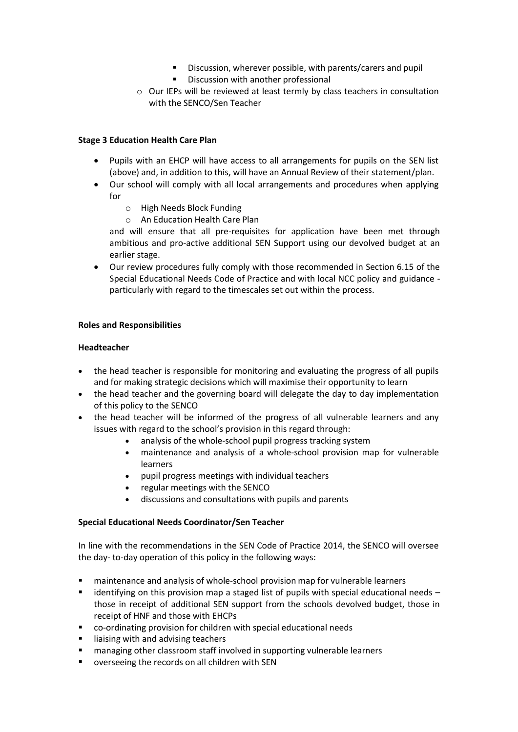- Discussion, wherever possible, with parents/carers and pupil
- Discussion with another professional
- o Our IEPs will be reviewed at least termly by class teachers in consultation with the SENCO/Sen Teacher

#### **Stage 3 Education Health Care Plan**

- Pupils with an EHCP will have access to all arrangements for pupils on the SEN list (above) and, in addition to this, will have an Annual Review of their statement/plan.
- Our school will comply with all local arrangements and procedures when applying for
	- o High Needs Block Funding
	- o An Education Health Care Plan

and will ensure that all pre-requisites for application have been met through ambitious and pro-active additional SEN Support using our devolved budget at an earlier stage.

• Our review procedures fully comply with those recommended in Section 6.15 of the Special Educational Needs Code of Practice and with local NCC policy and guidance particularly with regard to the timescales set out within the process.

#### **Roles and Responsibilities**

#### **Headteacher**

- the head teacher is responsible for monitoring and evaluating the progress of all pupils and for making strategic decisions which will maximise their opportunity to learn
- the head teacher and the governing board will delegate the day to day implementation of this policy to the SENCO
- the head teacher will be informed of the progress of all vulnerable learners and any issues with regard to the school's provision in this regard through:
	- analysis of the whole-school pupil progress tracking system
	- maintenance and analysis of a whole-school provision map for vulnerable learners
	- pupil progress meetings with individual teachers
	- regular meetings with the SENCO
	- discussions and consultations with pupils and parents

#### **Special Educational Needs Coordinator/Sen Teacher**

In line with the recommendations in the SEN Code of Practice 2014, the SENCO will oversee the day- to-day operation of this policy in the following ways:

- maintenance and analysis of whole-school provision map for vulnerable learners
- **■** identifying on this provision map a staged list of pupils with special educational needs  $$ those in receipt of additional SEN support from the schools devolved budget, those in receipt of HNF and those with EHCPs
- co-ordinating provision for children with special educational needs
- liaising with and advising teachers
- managing other classroom staff involved in supporting vulnerable learners
- overseeing the records on all children with SEN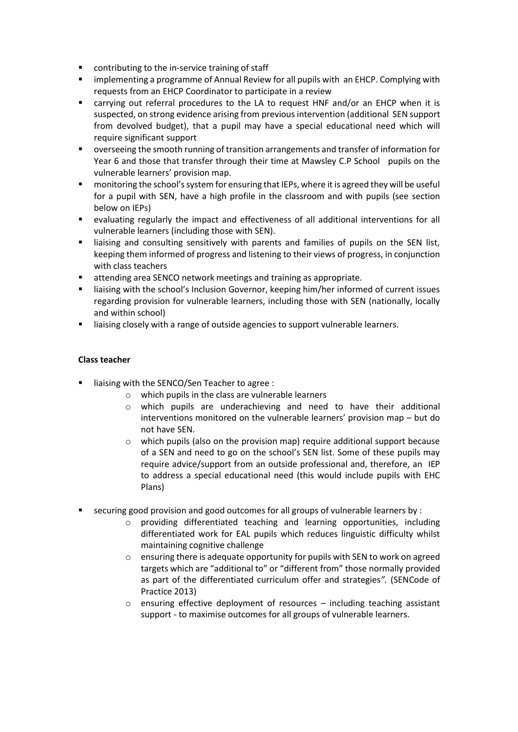- contributing to the in-service training of staff
- **■** implementing a programme of Annual Review for all pupils with an EHCP. Complying with requests from an EHCP Coordinator to participate in a review
- carrying out referral procedures to the LA to request HNF and/or an EHCP when it is suspected, on strong evidence arising from previous intervention (additional SEN support from devolved budget), that a pupil may have a special educational need which will require significant support
- overseeing the smooth running of transition arrangements and transfer of information for Year 6 and those that transfer through their time at Mawsley C.P School pupils on the vulnerable learners' provision map.
- monitoring the school's system for ensuring that IEPs, where it is agreed they will be useful for a pupil with SEN, have a high profile in the classroom and with pupils (see section below on IEPs)
- evaluating regularly the impact and effectiveness of all additional interventions for all vulnerable learners (including those with SEN).
- liaising and consulting sensitively with parents and families of pupils on the SEN list, keeping them informed of progress and listening to their views of progress, in conjunction with class teachers
- attending area SENCO network meetings and training as appropriate.
- liaising with the school's Inclusion Governor, keeping him/her informed of current issues regarding provision for vulnerable learners, including those with SEN (nationally, locally and within school)
- liaising closely with a range of outside agencies to support vulnerable learners.

#### **Class teacher**

- liaising with the SENCO/Sen Teacher to agree :
	- o which pupils in the class are vulnerable learners
	- o which pupils are underachieving and need to have their additional interventions monitored on the vulnerable learners' provision map – but do not have SEN.
	- o which pupils (also on the provision map) require additional support because of a SEN and need to go on the school's SEN list. Some of these pupils may require advice/support from an outside professional and, therefore, an IEP to address a special educational need (this would include pupils with EHC Plans)
- securing good provision and good outcomes for all groups of vulnerable learners by :
	- o providing differentiated teaching and learning opportunities, including differentiated work for EAL pupils which reduces linguistic difficulty whilst maintaining cognitive challenge
	- o ensuring there is adequate opportunity for pupils with SEN to work on agreed targets which are "additional to" or "different from" those normally provided as part of the differentiated curriculum offer and strategies*".* (SENCode of Practice 2013)
	- o ensuring effective deployment of resources including teaching assistant support - to maximise outcomes for all groups of vulnerable learners.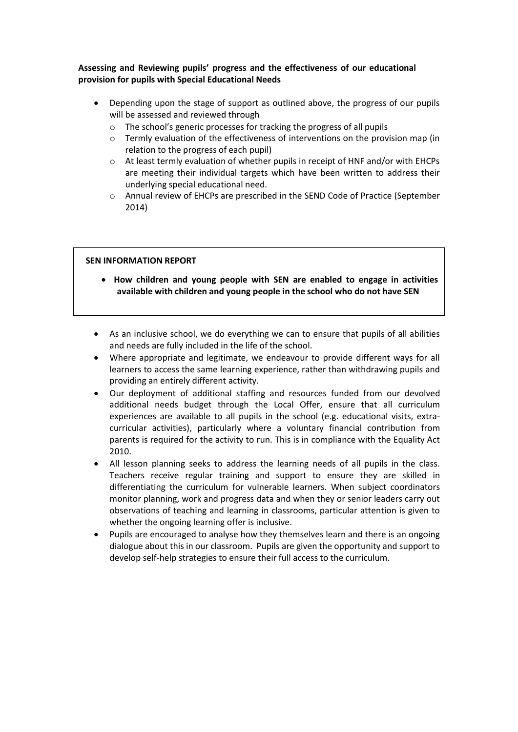#### **Assessing and Reviewing pupils' progress and the effectiveness of our educational provision for pupils with Special Educational Needs**

- Depending upon the stage of support as outlined above, the progress of our pupils will be assessed and reviewed through
	- o The school's generic processes for tracking the progress of all pupils
	- $\circ$  Termly evaluation of the effectiveness of interventions on the provision map (in relation to the progress of each pupil)
	- o At least termly evaluation of whether pupils in receipt of HNF and/or with EHCPs are meeting their individual targets which have been written to address their underlying special educational need.
	- o Annual review of EHCPs are prescribed in the SEND Code of Practice (September 2014)

#### **SEN INFORMATION REPORT**

- **How children and young people with SEN are enabled to engage in activities available with children and young people in the school who do not have SEN**
- As an inclusive school, we do everything we can to ensure that pupils of all abilities and needs are fully included in the life of the school.
- Where appropriate and legitimate, we endeavour to provide different ways for all learners to access the same learning experience, rather than withdrawing pupils and providing an entirely different activity.
- Our deployment of additional staffing and resources funded from our devolved additional needs budget through the Local Offer, ensure that all curriculum experiences are available to all pupils in the school (e.g. educational visits, extracurricular activities), particularly where a voluntary financial contribution from parents is required for the activity to run. This is in compliance with the Equality Act 2010.
- All lesson planning seeks to address the learning needs of all pupils in the class. Teachers receive regular training and support to ensure they are skilled in differentiating the curriculum for vulnerable learners. When subject coordinators monitor planning, work and progress data and when they or senior leaders carry out observations of teaching and learning in classrooms, particular attention is given to whether the ongoing learning offer is inclusive.
- Pupils are encouraged to analyse how they themselves learn and there is an ongoing dialogue about this in our classroom. Pupils are given the opportunity and support to develop self-help strategies to ensure their full access to the curriculum.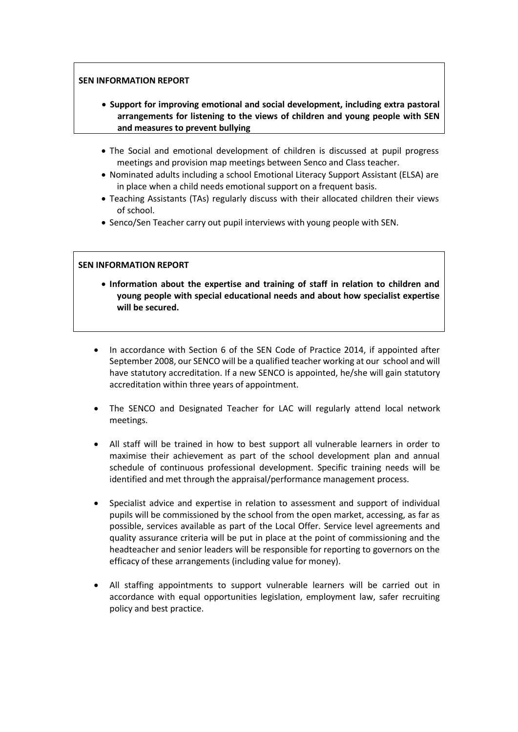#### **SEN INFORMATION REPORT**

- **Support for improving emotional and social development, including extra pastoral arrangements for listening to the views of children and young people with SEN and measures to prevent bullying**
- The Social and emotional development of children is discussed at pupil progress meetings and provision map meetings between Senco and Class teacher.
- Nominated adults including a school Emotional Literacy Support Assistant (ELSA) are in place when a child needs emotional support on a frequent basis.
- Teaching Assistants (TAs) regularly discuss with their allocated children their views of school.
- Senco/Sen Teacher carry out pupil interviews with young people with SEN.

#### **SEN INFORMATION REPORT**

- **Information about the expertise and training of staff in relation to children and young people with special educational needs and about how specialist expertise will be secured.**
- In accordance with Section 6 of the SEN Code of Practice 2014, if appointed after September 2008, our SENCO will be a qualified teacher working at our school and will have statutory accreditation. If a new SENCO is appointed, he/she will gain statutory accreditation within three years of appointment.
- The SENCO and Designated Teacher for LAC will regularly attend local network meetings.
- All staff will be trained in how to best support all vulnerable learners in order to maximise their achievement as part of the school development plan and annual schedule of continuous professional development. Specific training needs will be identified and met through the appraisal/performance management process.
- Specialist advice and expertise in relation to assessment and support of individual pupils will be commissioned by the school from the open market, accessing, as far as possible, services available as part of the Local Offer. Service level agreements and quality assurance criteria will be put in place at the point of commissioning and the headteacher and senior leaders will be responsible for reporting to governors on the efficacy of these arrangements (including value for money).
- All staffing appointments to support vulnerable learners will be carried out in accordance with equal opportunities legislation, employment law, safer recruiting policy and best practice.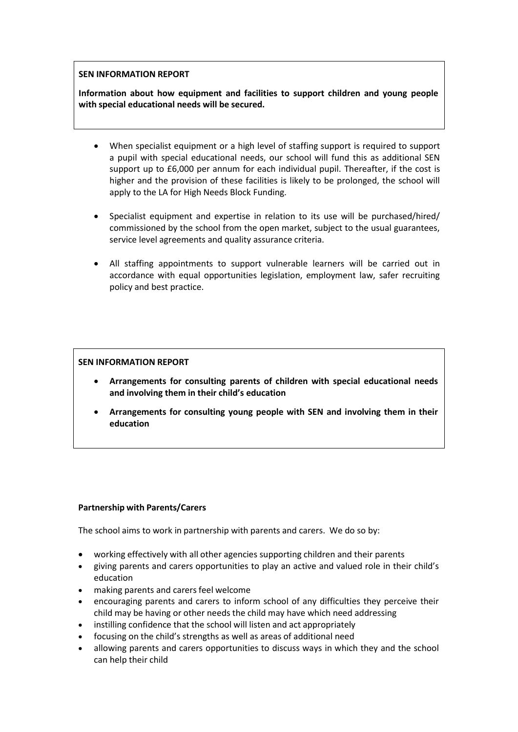#### **SEN INFORMATION REPORT**

**Information about how equipment and facilities to support children and young people with special educational needs will be secured.**

- When specialist equipment or a high level of staffing support is required to support a pupil with special educational needs, our school will fund this as additional SEN support up to £6,000 per annum for each individual pupil. Thereafter, if the cost is higher and the provision of these facilities is likely to be prolonged, the school will apply to the LA for High Needs Block Funding.
- Specialist equipment and expertise in relation to its use will be purchased/hired/ commissioned by the school from the open market, subject to the usual guarantees, service level agreements and quality assurance criteria.
- All staffing appointments to support vulnerable learners will be carried out in accordance with equal opportunities legislation, employment law, safer recruiting policy and best practice.

#### **SEN INFORMATION REPORT**

- **Arrangements for consulting parents of children with special educational needs and involving them in their child's education**
- **Arrangements for consulting young people with SEN and involving them in their education**

#### **Partnership with Parents/Carers**

The school aims to work in partnership with parents and carers. We do so by:

- working effectively with all other agencies supporting children and their parents
- giving parents and carers opportunities to play an active and valued role in their child's education
- making parents and carers feel welcome
- encouraging parents and carers to inform school of any difficulties they perceive their child may be having or other needs the child may have which need addressing
- instilling confidence that the school will listen and act appropriately
- focusing on the child's strengths as well as areas of additional need
- allowing parents and carers opportunities to discuss ways in which they and the school can help their child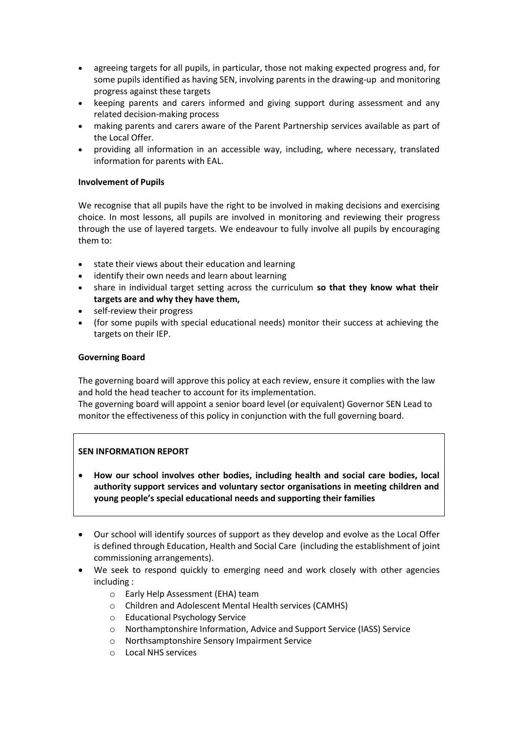- agreeing targets for all pupils, in particular, those not making expected progress and, for some pupils identified as having SEN, involving parents in the drawing-up and monitoring progress against these targets
- keeping parents and carers informed and giving support during assessment and any related decision-making process
- making parents and carers aware of the Parent Partnership services available as part of the Local Offer.
- providing all information in an accessible way, including, where necessary, translated information for parents with EAL.

#### **Involvement of Pupils**

We recognise that all pupils have the right to be involved in making decisions and exercising choice. In most lessons, all pupils are involved in monitoring and reviewing their progress through the use of layered targets. We endeavour to fully involve all pupils by encouraging them to:

- state their views about their education and learning
- identify their own needs and learn about learning
- share in individual target setting across the curriculum **so that they know what their targets are and why they have them,**
- self-review their progress
- (for some pupils with special educational needs) monitor their success at achieving the targets on their IEP.

#### **Governing Board**

The governing board will approve this policy at each review, ensure it complies with the law and hold the head teacher to account for its implementation.

The governing board will appoint a senior board level (or equivalent) Governor SEN Lead to monitor the effectiveness of this policy in conjunction with the full governing board.

#### **SEN INFORMATION REPORT**

- **How our school involves other bodies, including health and social care bodies, local authority support services and voluntary sector organisations in meeting children and young people's special educational needs and supporting their families**
- Our school will identify sources of support as they develop and evolve as the Local Offer is defined through Education, Health and Social Care (including the establishment of joint commissioning arrangements).
- We seek to respond quickly to emerging need and work closely with other agencies including :
	- o Early Help Assessment (EHA) team
	- o Children and Adolescent Mental Health services (CAMHS)
	- o Educational Psychology Service
	- o Northamptonshire Information, Advice and Support Service (IASS) Service
	- o Northsamptonshire Sensory Impairment Service
	- o Local NHS services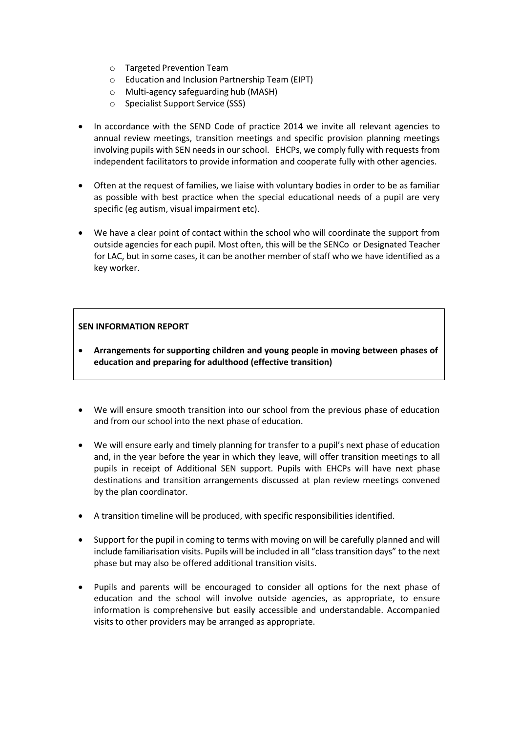- o Targeted Prevention Team
- o Education and Inclusion Partnership Team (EIPT)
- o Multi-agency safeguarding hub (MASH)
- o Specialist Support Service (SSS)
- In accordance with the SEND Code of practice 2014 we invite all relevant agencies to annual review meetings, transition meetings and specific provision planning meetings involving pupils with SEN needs in our school. EHCPs, we comply fully with requests from independent facilitators to provide information and cooperate fully with other agencies.
- Often at the request of families, we liaise with voluntary bodies in order to be as familiar as possible with best practice when the special educational needs of a pupil are very specific (eg autism, visual impairment etc).
- We have a clear point of contact within the school who will coordinate the support from outside agencies for each pupil. Most often, this will be the SENCo or Designated Teacher for LAC, but in some cases, it can be another member of staff who we have identified as a key worker.

#### **SEN INFORMATION REPORT**

- **Arrangements for supporting children and young people in moving between phases of education and preparing for adulthood (effective transition)**
- We will ensure smooth transition into our school from the previous phase of education and from our school into the next phase of education.
- We will ensure early and timely planning for transfer to a pupil's next phase of education and, in the year before the year in which they leave, will offer transition meetings to all pupils in receipt of Additional SEN support. Pupils with EHCPs will have next phase destinations and transition arrangements discussed at plan review meetings convened by the plan coordinator.
- A transition timeline will be produced, with specific responsibilities identified.
- Support for the pupil in coming to terms with moving on will be carefully planned and will include familiarisation visits. Pupils will be included in all "class transition days" to the next phase but may also be offered additional transition visits.
- Pupils and parents will be encouraged to consider all options for the next phase of education and the school will involve outside agencies, as appropriate, to ensure information is comprehensive but easily accessible and understandable. Accompanied visits to other providers may be arranged as appropriate.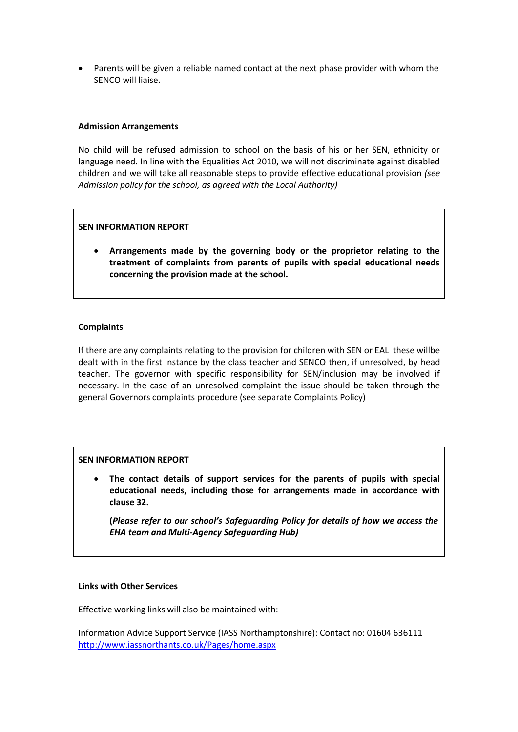• Parents will be given a reliable named contact at the next phase provider with whom the SENCO will liaise.

#### **Admission Arrangements**

No child will be refused admission to school on the basis of his or her SEN, ethnicity or language need. In line with the Equalities Act 2010, we will not discriminate against disabled children and we will take all reasonable steps to provide effective educational provision *(see Admission policy for the school, as agreed with the Local Authority)*

#### **SEN INFORMATION REPORT**

• **Arrangements made by the governing body or the proprietor relating to the treatment of complaints from parents of pupils with special educational needs concerning the provision made at the school.**

#### **Complaints**

If there are any complaints relating to the provision for children with SEN or EAL these willbe dealt with in the first instance by the class teacher and SENCO then, if unresolved, by head teacher. The governor with specific responsibility for SEN/inclusion may be involved if necessary. In the case of an unresolved complaint the issue should be taken through the general Governors complaints procedure (see separate Complaints Policy)

#### **SEN INFORMATION REPORT**

• **The contact details of support services for the parents of pupils with special educational needs, including those for arrangements made in accordance with clause 32.**

**(***Please refer to our school's Safeguarding Policy for details of how we access the EHA team and Multi-Agency Safeguarding Hub)*

#### **Links with Other Services**

Effective working links will also be maintained with:

Information Advice Support Service (IASS Northamptonshire): Contact no: 01604 636111 <http://www.iassnorthants.co.uk/Pages/home.aspx>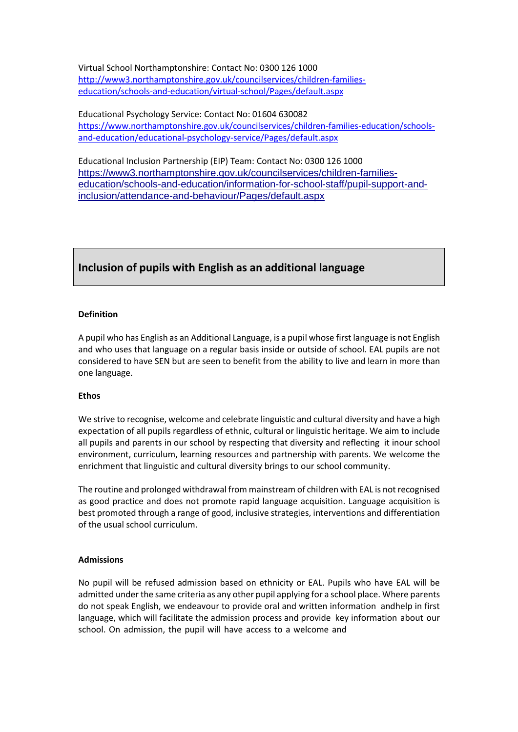Virtual School Northamptonshire: Contact No: 0300 126 1000 [http://www3.northamptonshire.gov.uk/councilservices/children-families](http://www3.northamptonshire.gov.uk/councilservices/children-families-education/schools-and-education/virtual-school/Pages/default.aspx)[education/schools-and-education/virtual-school/Pages/default.aspx](http://www3.northamptonshire.gov.uk/councilservices/children-families-education/schools-and-education/virtual-school/Pages/default.aspx)

Educational Psychology Service: Contact No: 01604 630082 [https://www.northamptonshire.gov.uk/councilservices/children-families-education/schools](https://www.northamptonshire.gov.uk/councilservices/children-families-education/schools-and-education/educational-psychology-service/Pages/default.aspx)[and-education/educational-psychology-service/Pages/default.aspx](https://www.northamptonshire.gov.uk/councilservices/children-families-education/schools-and-education/educational-psychology-service/Pages/default.aspx)

Educational Inclusion Partnership (EIP) Team: Contact No: 0300 126 1000 [https://www3.northamptonshire.gov.uk/councilservices/children-families](https://www3.northamptonshire.gov.uk/councilservices/children-families-education/schools-and-education/information-for-school-staff/pupil-support-and-inclusion/attendance-and-behaviour/Pages/default.aspx#_ga%3D2.32825596.392264334.1599136860-14221294.1599136860)[education/schools-and-education/information-for-school-staff/pupil-support-and](https://www3.northamptonshire.gov.uk/councilservices/children-families-education/schools-and-education/information-for-school-staff/pupil-support-and-inclusion/attendance-and-behaviour/Pages/default.aspx#_ga%3D2.32825596.392264334.1599136860-14221294.1599136860)[inclusion/attendance-and-behaviour/Pages/default.aspx](https://www3.northamptonshire.gov.uk/councilservices/children-families-education/schools-and-education/information-for-school-staff/pupil-support-and-inclusion/attendance-and-behaviour/Pages/default.aspx#_ga%3D2.32825596.392264334.1599136860-14221294.1599136860)

### **Inclusion of pupils with English as an additional language**

#### **Definition**

A pupil who has English as an Additional Language, is a pupil whose first language is not English and who uses that language on a regular basis inside or outside of school. EAL pupils are not considered to have SEN but are seen to benefit from the ability to live and learn in more than one language.

#### **Ethos**

We strive to recognise, welcome and celebrate linguistic and cultural diversity and have a high expectation of all pupils regardless of ethnic, cultural or linguistic heritage. We aim to include all pupils and parents in our school by respecting that diversity and reflecting it inour school environment, curriculum, learning resources and partnership with parents. We welcome the enrichment that linguistic and cultural diversity brings to our school community.

The routine and prolonged withdrawal from mainstream of children with EAL is not recognised as good practice and does not promote rapid language acquisition. Language acquisition is best promoted through a range of good, inclusive strategies, interventions and differentiation of the usual school curriculum.

#### **Admissions**

No pupil will be refused admission based on ethnicity or EAL. Pupils who have EAL will be admitted under the same criteria as any other pupil applying for a school place. Where parents do not speak English, we endeavour to provide oral and written information andhelp in first language, which will facilitate the admission process and provide key information about our school. On admission, the pupil will have access to a welcome and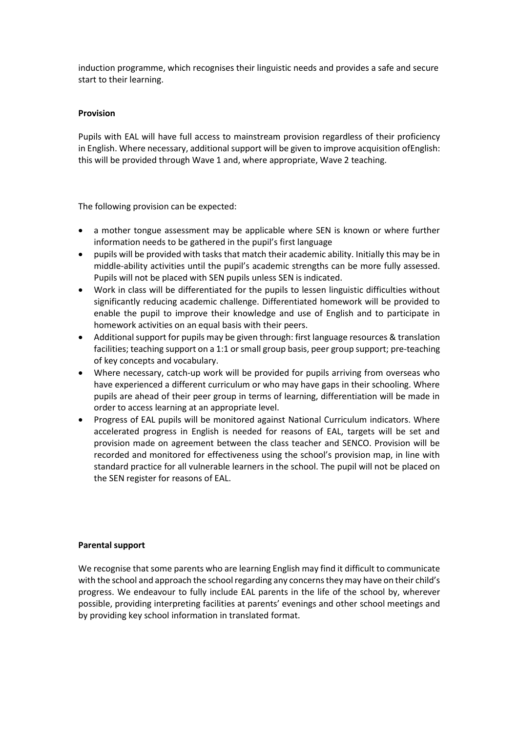induction programme, which recognises their linguistic needs and provides a safe and secure start to their learning.

#### **Provision**

Pupils with EAL will have full access to mainstream provision regardless of their proficiency in English. Where necessary, additional support will be given to improve acquisition of English: this will be provided through Wave 1 and, where appropriate, Wave 2 teaching.

The following provision can be expected:

- a mother tongue assessment may be applicable where SEN is known or where further information needs to be gathered in the pupil's first language
- pupils will be provided with tasks that match their academic ability. Initially this may be in middle-ability activities until the pupil's academic strengths can be more fully assessed. Pupils will not be placed with SEN pupils unless SEN is indicated.
- Work in class will be differentiated for the pupils to lessen linguistic difficulties without significantly reducing academic challenge. Differentiated homework will be provided to enable the pupil to improve their knowledge and use of English and to participate in homework activities on an equal basis with their peers.
- Additional support for pupils may be given through: first language resources & translation facilities; teaching support on a 1:1 or small group basis, peer group support; pre-teaching of key concepts and vocabulary.
- Where necessary, catch-up work will be provided for pupils arriving from overseas who have experienced a different curriculum or who may have gaps in their schooling. Where pupils are ahead of their peer group in terms of learning, differentiation will be made in order to access learning at an appropriate level.
- Progress of EAL pupils will be monitored against National Curriculum indicators. Where accelerated progress in English is needed for reasons of EAL, targets will be set and provision made on agreement between the class teacher and SENCO. Provision will be recorded and monitored for effectiveness using the school's provision map, in line with standard practice for all vulnerable learners in the school. The pupil will not be placed on the SEN register for reasons of EAL.

#### **Parental support**

We recognise that some parents who are learning English may find it difficult to communicate with the school and approach the school regarding any concerns they may have on their child's progress. We endeavour to fully include EAL parents in the life of the school by, wherever possible, providing interpreting facilities at parents' evenings and other school meetings and by providing key school information in translated format.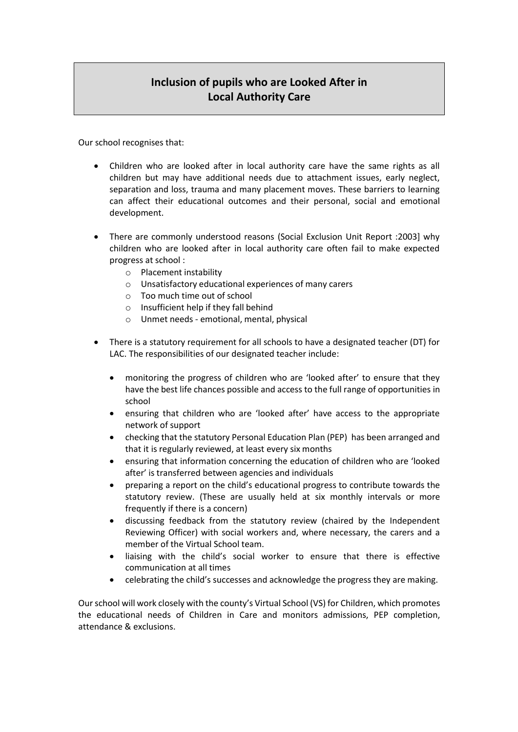# **Inclusion of pupils who are Looked After in Local Authority Care**

Our school recognises that:

- Children who are looked after in local authority care have the same rights as all children but may have additional needs due to attachment issues, early neglect, separation and loss, trauma and many placement moves. These barriers to learning can affect their educational outcomes and their personal, social and emotional development.
- There are commonly understood reasons (Social Exclusion Unit Report :2003] why children who are looked after in local authority care often fail to make expected progress at school :
	- o Placement instability
	- o Unsatisfactory educational experiences of many carers
	- o Too much time out of school
	- o Insufficient help if they fall behind
	- o Unmet needs emotional, mental, physical
- There is a statutory requirement for all schools to have a designated teacher (DT) for LAC. The responsibilities of our designated teacher include:
	- monitoring the progress of children who are 'looked after' to ensure that they have the best life chances possible and access to the full range of opportunities in school
	- ensuring that children who are 'looked after' have access to the appropriate network of support
	- checking that the statutory Personal Education Plan (PEP) has been arranged and that it is regularly reviewed, at least every six months
	- ensuring that information concerning the education of children who are 'looked after' is transferred between agencies and individuals
	- preparing a report on the child's educational progress to contribute towards the statutory review. (These are usually held at six monthly intervals or more frequently if there is a concern)
	- discussing feedback from the statutory review (chaired by the Independent Reviewing Officer) with social workers and, where necessary, the carers and a member of the Virtual School team.
	- liaising with the child's social worker to ensure that there is effective communication at all times
	- celebrating the child's successes and acknowledge the progress they are making.

Ourschool will work closely with the county's Virtual School (VS) for Children, which promotes the educational needs of Children in Care and monitors admissions, PEP completion, attendance & exclusions.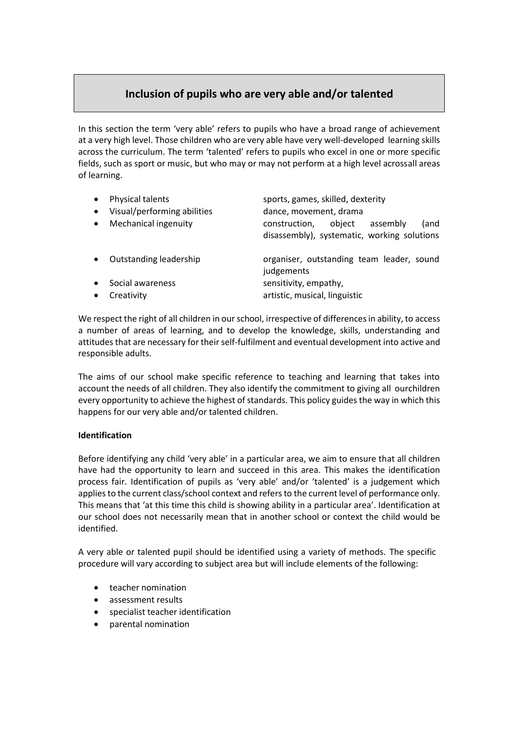## **Inclusion of pupils who are very able and/or talented**

In this section the term 'very able' refers to pupils who have a broad range of achievement at a very high level. Those children who are very able have very well-developed learning skills across the curriculum. The term 'talented' refers to pupils who excel in one or more specific fields, such as sport or music, but who may or may not perform at a high level acrossall areas of learning.

| $\bullet$ | Physical talents<br>Visual/performing abilities | sports, games, skilled, dexterity<br>dance, movement, drama                                |
|-----------|-------------------------------------------------|--------------------------------------------------------------------------------------------|
|           | Mechanical ingenuity                            | construction,<br>object<br>assembly<br>(and<br>disassembly), systematic, working solutions |
|           | Outstanding leadership                          | organiser, outstanding team leader, sound<br>judgements                                    |
|           | Social awareness                                | sensitivity, empathy,                                                                      |
|           | Creativity                                      | artistic, musical, linguistic                                                              |

We respect the right of all children in our school, irrespective of differences in ability, to access a number of areas of learning, and to develop the knowledge, skills, understanding and attitudes that are necessary for their self-fulfilment and eventual development into active and responsible adults.

The aims of our school make specific reference to teaching and learning that takes into account the needs of all children. They also identify the commitment to giving all ourchildren every opportunity to achieve the highest of standards. This policy guides the way in which this happens for our very able and/or talented children.

#### **Identification**

Before identifying any child 'very able' in a particular area, we aim to ensure that all children have had the opportunity to learn and succeed in this area. This makes the identification process fair. Identification of pupils as 'very able' and/or 'talented' is a judgement which applies to the current class/school context and refers to the current level of performance only. This means that 'at this time this child is showing ability in a particular area'. Identification at our school does not necessarily mean that in another school or context the child would be identified.

A very able or talented pupil should be identified using a variety of methods. The specific procedure will vary according to subject area but will include elements of the following:

- teacher nomination
- assessment results
- specialist teacher identification
- parental nomination